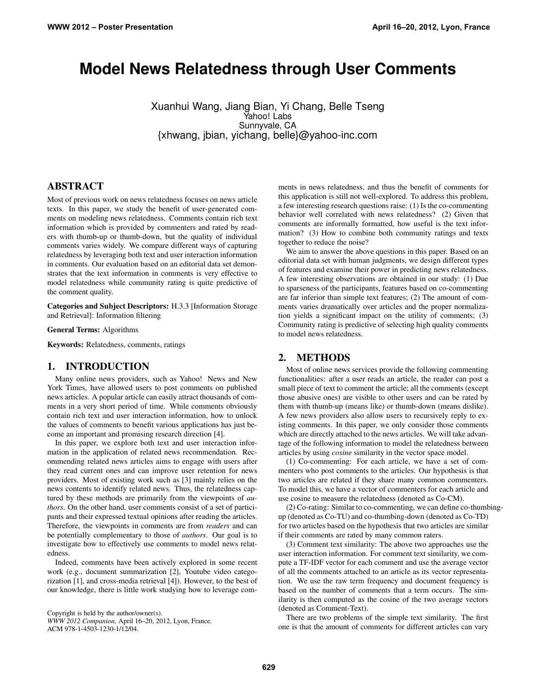# **Model News Relatedness through User Comments**

Xuanhui Wang, Jiang Bian, Yi Chang, Belle Tseng Yahoo! Labs Sunnyvale, CA {xhwang, jbian, yichang, belle}@yahoo-inc.com

## **ABSTRACT**

Most of previous work on news relatedness focuses on news article texts. In this paper, we study the benefit of user-generated comments on modeling news relatedness. Comments contain rich text information which is provided by commenters and rated by readers with thumb-up or thumb-down, but the quality of individual comments varies widely. We compare different ways of capturing relatedness by leveraging both text and user interaction information in comments. Our evaluation based on an editorial data set demonstrates that the text information in comments is very effective to model relatedness while community rating is quite predictive of the comment quality.

**Categories and Subject Descriptors:** H.3.3 [Information Storage and Retrieval]: Information filtering

**General Terms:** Algorithms

**Keywords:** Relatedness, comments, ratings

### **1. INTRODUCTION**

Many online news providers, such as Yahoo! News and New York Times, have allowed users to post comments on published news articles. A popular article can easily attract thousands of comments in a very short period of time. While comments obviously contain rich text and user interaction information, how to unlock the values of comments to benefit various applications has just become an important and promising research direction [4].

In this paper, we explore both text and user interaction information in the application of related news recommendation. Recommending related news articles aims to engage with users after they read current ones and can improve user retention for news providers. Most of existing work such as [3] mainly relies on the news contents to identify related news. Thus, the relatedness captured by these methods are primarily from the viewpoints of *authors*. On the other hand, user comments consist of a set of participants and their expressed textual opinions after reading the articles. Therefore, the viewpoints in comments are from *readers* and can be potentially complementary to those of *authors*. Our goal is to investigate how to effectively use comments to model news relatedness.

Indeed, comments have been actively explored in some recent work (e.g., document summarization [2], Youtube video categorization [1], and cross-media retrieval [4]). However, to the best of our knowledge, there is little work studying how to leverage com-

Copyright is held by the author/owner(s).

*WWW 2012 Companion,* April 16–20, 2012, Lyon, France. ACM 978-1-4503-1230-1/12/04.

ments in news relatedness, and thus the benefit of comments for this application is still not well-explored. To address this problem, a few interesting research questions raise: (1) Is the co-commenting behavior well correlated with news relatedness? (2) Given that comments are informally formatted, how useful is the text information? (3) How to combine both community ratings and texts together to reduce the noise?

We aim to answer the above questions in this paper. Based on an editorial data set with human judgments, we design different types of features and examine their power in predicting news relatedness. A few interesting observations are obtained in our study: (1) Due to sparseness of the participants, features based on co-commenting are far inferior than simple text features; (2) The amount of comments varies dramatically over articles and the proper normalization yields a significant impact on the utility of comments; (3) Community rating is predictive of selecting high quality comments to model news relatedness.

### **2. METHODS**

Most of online news services provide the following commenting functionalities: after a user reads an article, the reader can post a small piece of text to comment the article; all the comments (except those abusive ones) are visible to other users and can be rated by them with thumb-up (means like) or thumb-down (means dislike). A few news providers also allow users to recursively reply to existing comments. In this paper, we only consider those comments which are directly attached to the news articles. We will take advantage of the following information to model the relatedness between articles by using *cosine* similarity in the vector space model.

(1) Co-commenting: For each article, we have a set of commenters who post comments to the articles. Our hypothesis is that two articles are related if they share many common commenters. To model this, we have a vector of commenters for each article and use cosine to measure the relatedness (denoted as Co-CM).

(2) Co-rating: Similar to co-commenting, we can define co-thumbingup (denoted as Co-TU) and co-thumbing-down (denoted as Co-TD) for two articles based on the hypothesis that two articles are similar if their comments are rated by many common raters.

(3) Comment text similarity: The above two approaches use the user interaction information. For comment text similarity, we compute a TF-IDF vector for each comment and use the average vector of all the comments attached to an article as its vector representation. We use the raw term frequency and document frequency is based on the number of comments that a term occurs. The similarity is then computed as the cosine of the two average vectors (denoted as Comment-Text).

There are two problems of the simple text similarity. The first one is that the amount of comments for different articles can vary